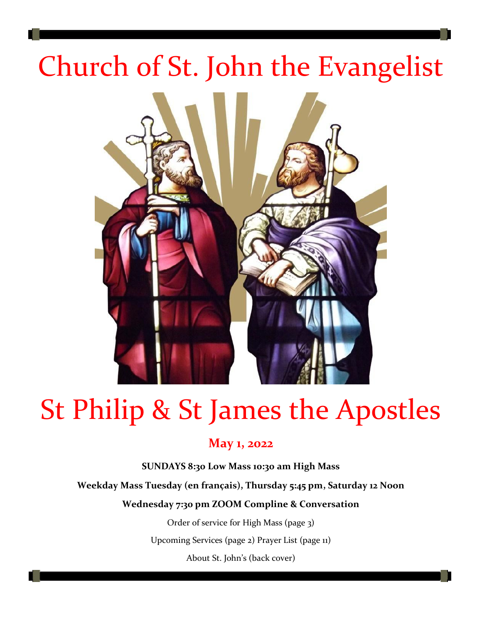# Church of St. John the Evangelist



# St Philip & St James the Apostles

### **May 1, 2022**

**SUNDAYS 8:30 Low Mass 10:30 am High Mass**

**Weekday Mass Tuesday (en français), Thursday 5:45 pm, Saturday 12 Noon** 

#### **Wednesday 7:30 pm ZOOM Compline & Conversation**

Order of service for High Mass (page 3)

Upcoming Services (page 2) Prayer List (page 11)

About St. John's (back cover)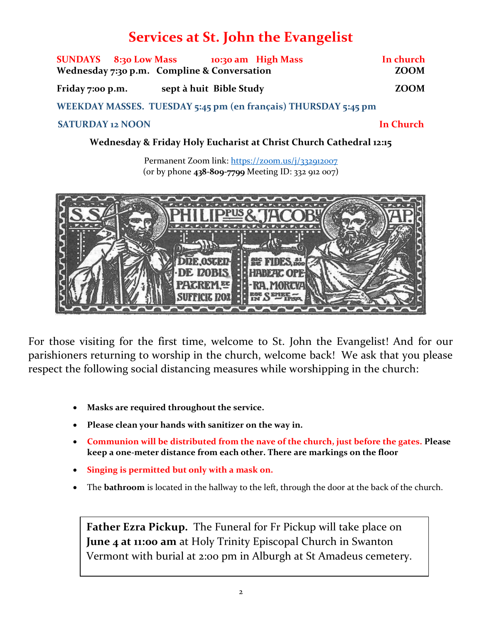## **Services at St. John the Evangelist**

|                                             |  | SUNDAYS 8:30 Low Mass 10:30 am High Mass |  |  |                                                                | In church   |
|---------------------------------------------|--|------------------------------------------|--|--|----------------------------------------------------------------|-------------|
| Wednesday 7:30 p.m. Compline & Conversation |  |                                          |  |  |                                                                | <b>ZOOM</b> |
| Friday 7:00 p.m.                            |  | sept à huit Bible Study                  |  |  |                                                                | <b>ZOOM</b> |
|                                             |  |                                          |  |  | WEEKDAY MASSES. TUESDAY 5:45 pm (en français) THURSDAY 5:45 pm |             |

#### **SATURDAY 12 NOON In Church**

**Wednesday & Friday Holy Eucharist at Christ Church Cathedral 12:15**

Permanent Zoom link:<https://zoom.us/j/332912007> (or by phone **438-809-7799** Meeting ID: 332 912 007)



For those visiting for the first time, welcome to St. John the Evangelist! And for our parishioners returning to worship in the church, welcome back! We ask that you please respect the following social distancing measures while worshipping in the church:

- **Masks are required throughout the service.**
- **Please clean your hands with sanitizer on the way in.**
- **Communion will be distributed from the nave of the church, just before the gates. Please keep a one-meter distance from each other. There are markings on the floor**
- **Singing is permitted but only with a mask on.**
- The **bathroom** is located in the hallway to the left, through the door at the back of the church.

**Father Ezra Pickup.** The Funeral for Fr Pickup will take place on **June 4 at 11:00 am** at Holy Trinity Episcopal Church in Swanton Vermont with burial at 2:00 pm in Alburgh at St Amadeus cemetery.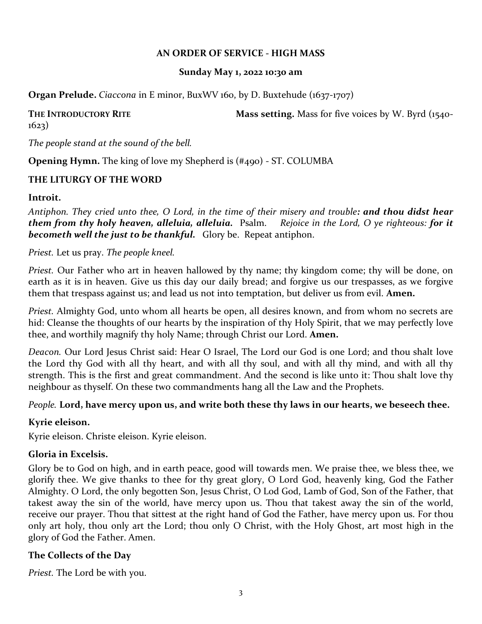#### **AN ORDER OF SERVICE - HIGH MASS**

#### **Sunday May 1, 2o22 10:30 am**

**Organ Prelude.** *Ciaccona* in E minor, BuxWV 160, by D. Buxtehude (1637-1707)

# 1623)

**THE INTRODUCTORY RITE Mass setting.** Mass for five voices by W. Byrd (1540-

*The people stand at the sound of the bell.*

**Opening Hymn.** The king of love my Shepherd is (#490) - ST. COLUMBA

#### **THE LITURGY OF THE WORD**

#### **Introit.**

*Antiphon. They cried unto thee, O Lord, in the time of their misery and trouble: and thou didst hear them from thy holy heaven, alleluia, alleluia.* Psalm. *Rejoice in the Lord, O ye righteous: for it becometh well the just to be thankful.* Glory be. Repeat antiphon.

#### *Priest.* Let us pray. *The people kneel.*

*Priest.* Our Father who art in heaven hallowed by thy name; thy kingdom come; thy will be done, on earth as it is in heaven. Give us this day our daily bread; and forgive us our trespasses, as we forgive them that trespass against us; and lead us not into temptation, but deliver us from evil. **Amen.**

*Priest.* Almighty God, unto whom all hearts be open, all desires known, and from whom no secrets are hid: Cleanse the thoughts of our hearts by the inspiration of thy Holy Spirit, that we may perfectly love thee, and worthily magnify thy holy Name; through Christ our Lord. **Amen.**

*Deacon.* Our Lord Jesus Christ said: Hear O Israel, The Lord our God is one Lord; and thou shalt love the Lord thy God with all thy heart, and with all thy soul, and with all thy mind, and with all thy strength. This is the first and great commandment. And the second is like unto it: Thou shalt love thy neighbour as thyself. On these two commandments hang all the Law and the Prophets.

#### *People.* **Lord, have mercy upon us, and write both these thy laws in our hearts, we beseech thee.**

#### **Kyrie eleison.**

Kyrie eleison. Christe eleison. Kyrie eleison.

#### **Gloria in Excelsis.**

Glory be to God on high, and in earth peace, good will towards men. We praise thee, we bless thee, we glorify thee. We give thanks to thee for thy great glory, O Lord God, heavenly king, God the Father Almighty. O Lord, the only begotten Son, Jesus Christ, O Lod God, Lamb of God, Son of the Father, that takest away the sin of the world, have mercy upon us. Thou that takest away the sin of the world, receive our prayer. Thou that sittest at the right hand of God the Father, have mercy upon us. For thou only art holy, thou only art the Lord; thou only O Christ, with the Holy Ghost, art most high in the glory of God the Father. Amen.

#### **The Collects of the Day**

*Priest.* The Lord be with you.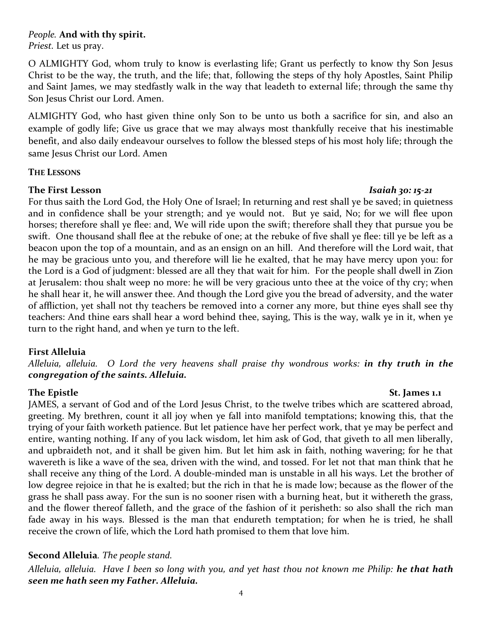#### *People.* **And with thy spirit.**

*Priest.* Let us pray.

O ALMIGHTY God, whom truly to know is everlasting life; Grant us perfectly to know thy Son Jesus Christ to be the way, the truth, and the life; that, following the steps of thy holy Apostles, Saint Philip and Saint James, we may stedfastly walk in the way that leadeth to external life; through the same thy Son Jesus Christ our Lord. Amen.

ALMIGHTY God, who hast given thine only Son to be unto us both a sacrifice for sin, and also an example of godly life; Give us grace that we may always most thankfully receive that his inestimable benefit, and also daily endeavour ourselves to follow the blessed steps of his most holy life; through the same Jesus Christ our Lord. Amen

#### **THE LESSONS**

#### **The First Lesson** *Isaiah 30: 15-21*

For thus saith the Lord God, the Holy One of Israel; In returning and rest shall ye be saved; in quietness and in confidence shall be your strength; and ye would not. But ye said, No; for we will flee upon horses; therefore shall ye flee: and, We will ride upon the swift; therefore shall they that pursue you be swift. One thousand shall flee at the rebuke of one; at the rebuke of five shall ye flee: till ye be left as a beacon upon the top of a mountain, and as an ensign on an hill. And therefore will the Lord wait, that he may be gracious unto you, and therefore will lie he exalted, that he may have mercy upon you: for the Lord is a God of judgment: blessed are all they that wait for him. For the people shall dwell in Zion at Jerusalem: thou shalt weep no more: he will be very gracious unto thee at the voice of thy cry; when he shall hear it, he will answer thee. And though the Lord give you the bread of adversity, and the water of affliction, yet shall not thy teachers be removed into a corner any more, but thine eyes shall see thy teachers: And thine ears shall hear a word behind thee, saying, This is the way, walk ye in it, when ye turn to the right hand, and when ye turn to the left.

#### **First Alleluia**

*Alleluia, alleluia. O Lord the very heavens shall praise thy wondrous works: in thy truth in the congregation of the saints. Alleluia.*

#### **The Epistle St. James 1.1**

JAMES, a servant of God and of the Lord Jesus Christ, to the twelve tribes which are scattered abroad, greeting. My brethren, count it all joy when ye fall into manifold temptations; knowing this, that the trying of your faith worketh patience. But let patience have her perfect work, that ye may be perfect and entire, wanting nothing. If any of you lack wisdom, let him ask of God, that giveth to all men liberally, and upbraideth not, and it shall be given him. But let him ask in faith, nothing wavering; for he that wavereth is like a wave of the sea, driven with the wind, and tossed. For let not that man think that he shall receive any thing of the Lord. A double-minded man is unstable in all his ways. Let the brother of low degree rejoice in that he is exalted; but the rich in that he is made low; because as the flower of the grass he shall pass away. For the sun is no sooner risen with a burning heat, but it withereth the grass, and the flower thereof falleth, and the grace of the fashion of it perisheth: so also shall the rich man fade away in his ways. Blessed is the man that endureth temptation; for when he is tried, he shall receive the crown of life, which the Lord hath promised to them that love him.

#### **Second Alleluia***. The people stand.*

*Alleluia, alleluia. Have I been so long with you, and yet hast thou not known me Philip: he that hath seen me hath seen my Father. Alleluia.*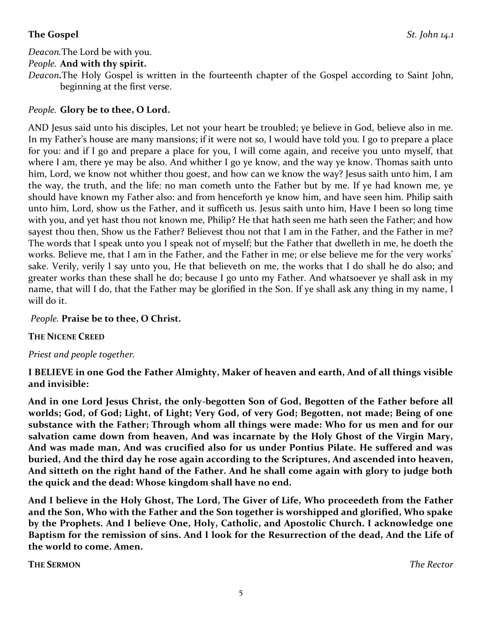#### **The Gospel** *St. John 14.1*

*Deacon.*The Lord be with you.

#### *People.* **And with thy spirit.**

*Deacon.*The Holy Gospel is written in the fourteenth chapter of the Gospel according to Saint John, beginning at the first verse.

#### *People.* **Glory be to thee, O Lord.**

AND Jesus said unto his disciples, Let not your heart be troubled; ye believe in God, believe also in me. In my Father's house are many mansions; if it were not so, I would have told you. I go to prepare a place for you: and if I go and prepare a place for you, I will come again, and receive you unto myself, that where I am, there ye may be also. And whither I go ye know, and the way ye know. Thomas saith unto him, Lord, we know not whither thou goest, and how can we know the way? Jesus saith unto him, I am the way, the truth, and the life: no man cometh unto the Father but by me. If ye had known me, ye should have known my Father also: and from henceforth ye know him, and have seen him. Philip saith unto him, Lord, show us the Father, and it sufficeth us. Jesus saith unto him, Have I been so long time with you, and yet hast thou not known me, Philip? He that hath seen me hath seen the Father; and how sayest thou then, Show us the Father? Believest thou not that I am in the Father, and the Father in me? The words that I speak unto you I speak not of myself; but the Father that dwelleth in me, he doeth the works. Believe me, that I am in the Father, and the Father in me; or else believe me for the very works' sake. Verily, verily I say unto you, He that believeth on me, the works that I do shall he do also; and greater works than these shall he do; because I go unto my Father. And whatsoever ye shall ask in my name, that will I do, that the Father may be glorified in the Son. If ye shall ask any thing in my name, I will do it.

#### *People.* **Praise be to thee, O Christ.**

**THE NICENE CREED**

#### *Priest and people together.*

**I BELIEVE in one God the Father Almighty, Maker of heaven and earth, And of all things visible and invisible:**

**And in one Lord Jesus Christ, the only-begotten Son of God, Begotten of the Father before all worlds; God, of God; Light, of Light; Very God, of very God; Begotten, not made; Being of one substance with the Father; Through whom all things were made: Who for us men and for our salvation came down from heaven, And was incarnate by the Holy Ghost of the Virgin Mary, And was made man, And was crucified also for us under Pontius Pilate. He suffered and was buried, And the third day he rose again according to the Scriptures, And ascended into heaven, And sitteth on the right hand of the Father. And he shall come again with glory to judge both the quick and the dead: Whose kingdom shall have no end.**

**And I believe in the Holy Ghost, The Lord, The Giver of Life, Who proceedeth from the Father and the Son, Who with the Father and the Son together is worshipped and glorified, Who spake by the Prophets. And I believe One, Holy, Catholic, and Apostolic Church. I acknowledge one Baptism for the remission of sins. And I look for the Resurrection of the dead, And the Life of the world to come. Amen.**

**THE SERMON** *The Rector*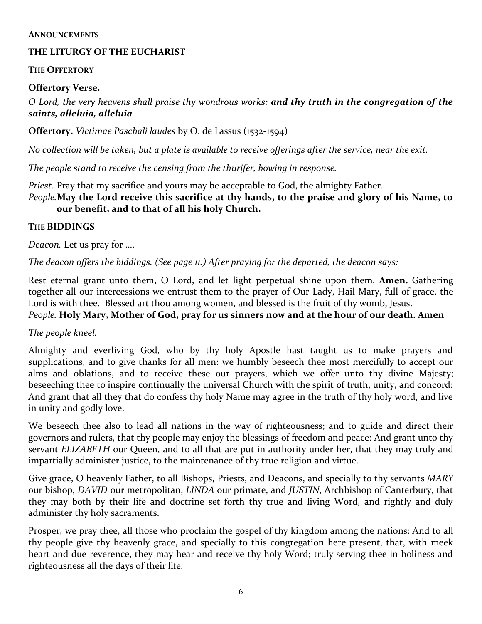#### **ANNOUNCEMENTS**

#### **THE LITURGY OF THE EUCHARIST**

#### **THE OFFERTORY**

#### **Offertory Verse.**

*O Lord, the very heavens shall praise thy wondrous works: and thy truth in the congregation of the saints, alleluia, alleluia* 

**Offertory.** *Victimae Paschali laudes* by O. de Lassus (1532-1594)

*No collection will be taken, but a plate is available to receive offerings after the service, near the exit.*

*The people stand to receive the censing from the thurifer, bowing in response.*

*Priest.* Pray that my sacrifice and yours may be acceptable to God, the almighty Father.

#### *People.***May the Lord receive this sacrifice at thy hands, to the praise and glory of his Name, to our benefit, and to that of all his holy Church.**

#### **THE BIDDINGS**

*Deacon.* Let us pray for ….

*The deacon offers the biddings. (See page 11.) After praying for the departed, the deacon says:*

Rest eternal grant unto them, O Lord, and let light perpetual shine upon them. **Amen.** Gathering together all our intercessions we entrust them to the prayer of Our Lady, Hail Mary, full of grace, the Lord is with thee. Blessed art thou among women, and blessed is the fruit of thy womb, Jesus. *People.* **Holy Mary, Mother of God, pray for us sinners now and at the hour of our death. Amen**

#### *The people kneel.*

Almighty and everliving God, who by thy holy Apostle hast taught us to make prayers and supplications, and to give thanks for all men: we humbly beseech thee most mercifully to accept our alms and oblations, and to receive these our prayers, which we offer unto thy divine Majesty; beseeching thee to inspire continually the universal Church with the spirit of truth, unity, and concord: And grant that all they that do confess thy holy Name may agree in the truth of thy holy word, and live in unity and godly love.

We beseech thee also to lead all nations in the way of righteousness; and to guide and direct their governors and rulers, that thy people may enjoy the blessings of freedom and peace: And grant unto thy servant *ELIZABETH* our Queen, and to all that are put in authority under her, that they may truly and impartially administer justice, to the maintenance of thy true religion and virtue.

Give grace, O heavenly Father, to all Bishops, Priests, and Deacons, and specially to thy servants *MARY*  our bishop, *DAVID* our metropolitan, *LINDA* our primate, and *JUSTIN*, Archbishop of Canterbury, that they may both by their life and doctrine set forth thy true and living Word, and rightly and duly administer thy holy sacraments.

Prosper, we pray thee, all those who proclaim the gospel of thy kingdom among the nations: And to all thy people give thy heavenly grace, and specially to this congregation here present, that, with meek heart and due reverence, they may hear and receive thy holy Word; truly serving thee in holiness and righteousness all the days of their life.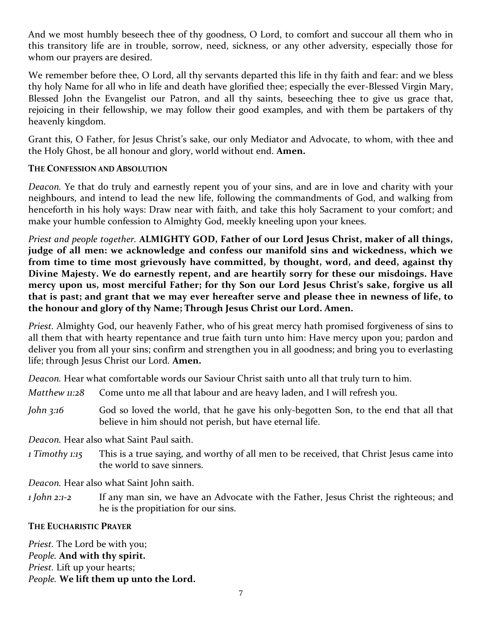And we most humbly beseech thee of thy goodness, O Lord, to comfort and succour all them who in this transitory life are in trouble, sorrow, need, sickness, or any other adversity, especially those for whom our prayers are desired.

We remember before thee, O Lord, all thy servants departed this life in thy faith and fear: and we bless thy holy Name for all who in life and death have glorified thee; especially the ever-Blessed Virgin Mary, Blessed John the Evangelist our Patron, and all thy saints, beseeching thee to give us grace that, rejoicing in their fellowship, we may follow their good examples, and with them be partakers of thy heavenly kingdom.

Grant this, O Father, for Jesus Christ's sake, our only Mediator and Advocate, to whom, with thee and the Holy Ghost, be all honour and glory, world without end. **Amen.**

#### **THE CONFESSION AND ABSOLUTION**

*Deacon.* Ye that do truly and earnestly repent you of your sins, and are in love and charity with your neighbours, and intend to lead the new life, following the commandments of God, and walking from henceforth in his holy ways: Draw near with faith, and take this holy Sacrament to your comfort; and make your humble confession to Almighty God, meekly kneeling upon your knees.

*Priest and people together.* **ALMIGHTY GOD, Father of our Lord Jesus Christ, maker of all things, judge of all men: we acknowledge and confess our manifold sins and wickedness, which we from time to time most grievously have committed, by thought, word, and deed, against thy Divine Majesty. We do earnestly repent, and are heartily sorry for these our misdoings. Have mercy upon us, most merciful Father; for thy Son our Lord Jesus Christ's sake, forgive us all that is past; and grant that we may ever hereafter serve and please thee in newness of life, to the honour and glory of thy Name; Through Jesus Christ our Lord. Amen.**

*Priest.* Almighty God, our heavenly Father, who of his great mercy hath promised forgiveness of sins to all them that with hearty repentance and true faith turn unto him: Have mercy upon you; pardon and deliver you from all your sins; confirm and strengthen you in all goodness; and bring you to everlasting life; through Jesus Christ our Lord. **Amen.**

*Deacon.* Hear what comfortable words our Saviour Christ saith unto all that truly turn to him.

- *Matthew 11:28* Come unto me all that labour and are heavy laden, and I will refresh you.
- *John* 3:16 God so loved the world, that he gave his only-begotten Son, to the end that all that believe in him should not perish, but have eternal life.

*Deacon.* Hear also what Saint Paul saith.

*1 Timothy 1:15* This is a true saying, and worthy of all men to be received, that Christ Jesus came into the world to save sinners.

*Deacon.* Hear also what Saint John saith.

*1 John 2:1-2* If any man sin, we have an Advocate with the Father, Jesus Christ the righteous; and he is the propitiation for our sins.

#### **THE EUCHARISTIC PRAYER**

*Priest.* The Lord be with you; *People.* **And with thy spirit.** *Priest.* Lift up your hearts; *People.* **We lift them up unto the Lord.**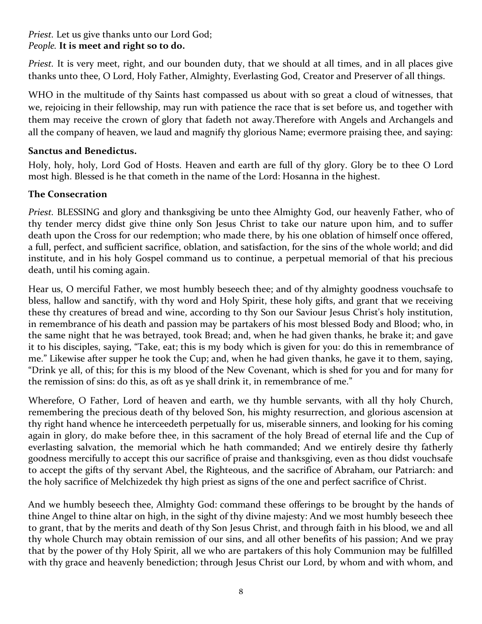#### *Priest.* Let us give thanks unto our Lord God; *People.* **It is meet and right so to do.**

*Priest.* It is very meet, right, and our bounden duty, that we should at all times, and in all places give thanks unto thee, O Lord, Holy Father, Almighty, Everlasting God, Creator and Preserver of all things.

WHO in the multitude of thy Saints hast compassed us about with so great a cloud of witnesses, that we, rejoicing in their fellowship, may run with patience the race that is set before us, and together with them may receive the crown of glory that fadeth not away.Therefore with Angels and Archangels and all the company of heaven, we laud and magnify thy glorious Name; evermore praising thee, and saying:

#### **Sanctus and Benedictus.**

Holy, holy, holy, Lord God of Hosts. Heaven and earth are full of thy glory. Glory be to thee O Lord most high. Blessed is he that cometh in the name of the Lord: Hosanna in the highest.

#### **The Consecration**

*Priest.* BLESSING and glory and thanksgiving be unto thee Almighty God, our heavenly Father, who of thy tender mercy didst give thine only Son Jesus Christ to take our nature upon him, and to suffer death upon the Cross for our redemption; who made there, by his one oblation of himself once offered, a full, perfect, and sufficient sacrifice, oblation, and satisfaction, for the sins of the whole world; and did institute, and in his holy Gospel command us to continue, a perpetual memorial of that his precious death, until his coming again.

Hear us, O merciful Father, we most humbly beseech thee; and of thy almighty goodness vouchsafe to bless, hallow and sanctify, with thy word and Holy Spirit, these holy gifts, and grant that we receiving these thy creatures of bread and wine, according to thy Son our Saviour Jesus Christ's holy institution, in remembrance of his death and passion may be partakers of his most blessed Body and Blood; who, in the same night that he was betrayed, took Bread; and, when he had given thanks, he brake it; and gave it to his disciples, saying, "Take, eat; this is my body which is given for you: do this in remembrance of me." Likewise after supper he took the Cup; and, when he had given thanks, he gave it to them, saying, "Drink ye all, of this; for this is my blood of the New Covenant, which is shed for you and for many for the remission of sins: do this, as oft as ye shall drink it, in remembrance of me."

Wherefore, O Father, Lord of heaven and earth, we thy humble servants, with all thy holy Church, remembering the precious death of thy beloved Son, his mighty resurrection, and glorious ascension at thy right hand whence he interceedeth perpetually for us, miserable sinners, and looking for his coming again in glory, do make before thee, in this sacrament of the holy Bread of eternal life and the Cup of everlasting salvation, the memorial which he hath commanded; And we entirely desire thy fatherly goodness mercifully to accept this our sacrifice of praise and thanksgiving, even as thou didst vouchsafe to accept the gifts of thy servant Abel, the Righteous, and the sacrifice of Abraham, our Patriarch: and the holy sacrifice of Melchizedek thy high priest as signs of the one and perfect sacrifice of Christ.

And we humbly beseech thee, Almighty God: command these offerings to be brought by the hands of thine Angel to thine altar on high, in the sight of thy divine majesty: And we most humbly beseech thee to grant, that by the merits and death of thy Son Jesus Christ, and through faith in his blood, we and all thy whole Church may obtain remission of our sins, and all other benefits of his passion; And we pray that by the power of thy Holy Spirit, all we who are partakers of this holy Communion may be fulfilled with thy grace and heavenly benediction; through Jesus Christ our Lord, by whom and with whom, and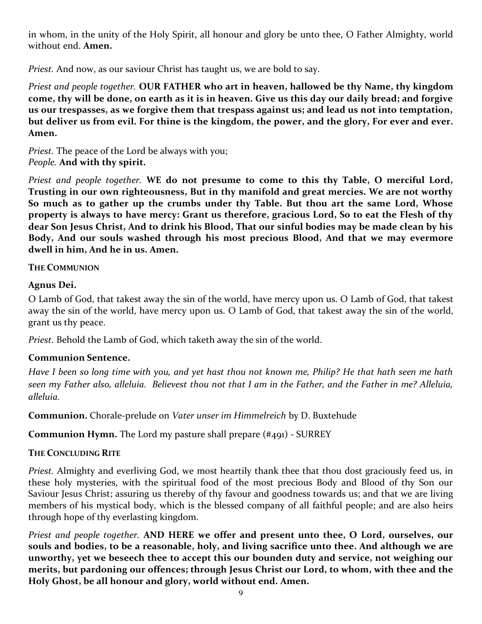in whom, in the unity of the Holy Spirit, all honour and glory be unto thee, O Father Almighty, world without end. **Amen.**

*Priest.* And now, as our saviour Christ has taught us, we are bold to say.

*Priest and people together.* **OUR FATHER who art in heaven, hallowed be thy Name, thy kingdom come, thy will be done, on earth as it is in heaven. Give us this day our daily bread; and forgive us our trespasses, as we forgive them that trespass against us; and lead us not into temptation, but deliver us from evil. For thine is the kingdom, the power, and the glory, For ever and ever. Amen.**

*Priest.* The peace of the Lord be always with you; *People.* **And with thy spirit.**

*Priest and people together.* **WE do not presume to come to this thy Table, O merciful Lord, Trusting in our own righteousness, But in thy manifold and great mercies. We are not worthy So much as to gather up the crumbs under thy Table. But thou art the same Lord, Whose property is always to have mercy: Grant us therefore, gracious Lord, So to eat the Flesh of thy dear Son Jesus Christ, And to drink his Blood, That our sinful bodies may be made clean by his Body, And our souls washed through his most precious Blood, And that we may evermore dwell in him, And he in us. Amen.**

#### **THE COMMUNION**

#### **Agnus Dei.**

O Lamb of God, that takest away the sin of the world, have mercy upon us. O Lamb of God, that takest away the sin of the world, have mercy upon us. O Lamb of God, that takest away the sin of the world, grant us thy peace.

*Priest*. Behold the Lamb of God, which taketh away the sin of the world.

#### **Communion Sentence.**

*Have I been so long time with you, and yet hast thou not known me, Philip? He that hath seen me hath seen my Father also, alleluia. Believest thou not that I am in the Father, and the Father in me? Alleluia, alleluia.*

**Communion.** Chorale-prelude on *Vater unser im Himmelreich* by D. Buxtehude

**Communion Hymn.** The Lord my pasture shall prepare (#491) - SURREY

#### **THE CONCLUDING RITE**

*Priest.* Almighty and everliving God, we most heartily thank thee that thou dost graciously feed us, in these holy mysteries, with the spiritual food of the most precious Body and Blood of thy Son our Saviour Jesus Christ; assuring us thereby of thy favour and goodness towards us; and that we are living members of his mystical body, which is the blessed company of all faithful people; and are also heirs through hope of thy everlasting kingdom.

*Priest and people together.* **AND HERE we offer and present unto thee, O Lord, ourselves, our souls and bodies, to be a reasonable, holy, and living sacrifice unto thee. And although we are unworthy, yet we beseech thee to accept this our bounden duty and service, not weighing our merits, but pardoning our offences; through Jesus Christ our Lord, to whom, with thee and the Holy Ghost, be all honour and glory, world without end. Amen.**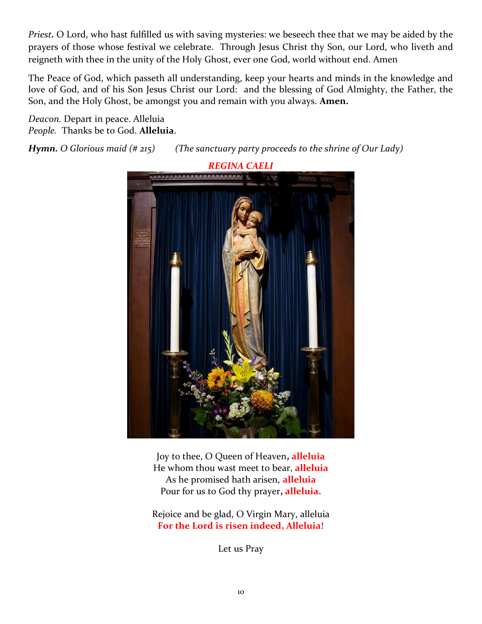*Priest.* O Lord, who hast fulfilled us with saving mysteries: we beseech thee that we may be aided by the prayers of those whose festival we celebrate. Through Jesus Christ thy Son, our Lord, who liveth and reigneth with thee in the unity of the Holy Ghost, ever one God, world without end. Amen

The Peace of God, which passeth all understanding, keep your hearts and minds in the knowledge and love of God, and of his Son Jesus Christ our Lord: and the blessing of God Almighty, the Father, the Son, and the Holy Ghost, be amongst you and remain with you always. **Amen.**

*Deacon.* Depart in peace. Alleluia *People.* Thanks be to God. **Alleluia**.

*Hymn. O Glorious maid (# 215) (The sanctuary party proceeds to the shrine of Our Lady)*



Joy to thee, O Queen of Heaven**, alleluia** He whom thou wast meet to bear, **alleluia** As he promised hath arisen, **alleluia** Pour for us to God thy prayer**, alleluia.**

Rejoice and be glad, O Virgin Mary, alleluia **For the Lord is risen indeed, Alleluia!**

Let us Pray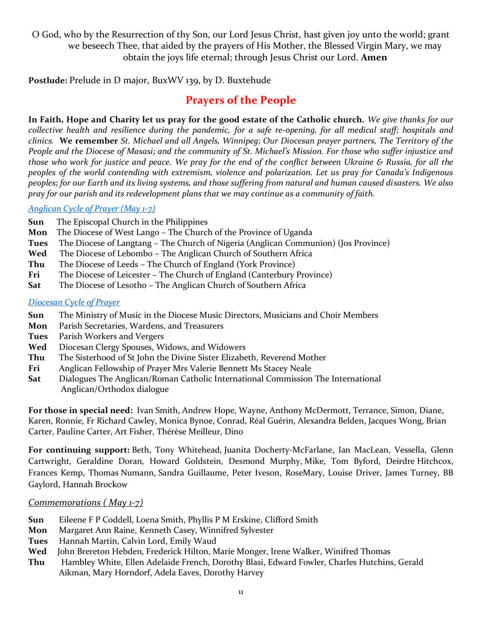O God, who by the Resurrection of thy Son, our Lord Jesus Christ, hast given joy unto the world; grant we beseech Thee, that aided by the prayers of His Mother, the Blessed Virgin Mary, we may obtain the joys life eternal; through Jesus Christ our Lord. **Amen**

**Postlude:** Prelude in D major, BuxWV 139, by D. Buxtehude

### **Prayers of the People**

**In Faith, Hope and Charity let us pray for the good estate of the Catholic church.** *We give thanks for our collective health and resilience during the pandemic, for a safe re-opening, for all medical staff; hospitals and clinics.* **We remember** *St. Michael and all Angels, Winnipeg; Our Diocesan prayer partners, The Territory of the People and the Diocese of Masasi; and the community of St. Michael's Mission. For those who suffer injustice and those who work for justice and peace. We pray for the end of the conflict between Ukraine & Russia, for all the peoples of the world contending with extremism, violence and polarization. Let us pray for Canada's Indigenous peoples; for our Earth and its living systems, and those suffering from natural and human caused disasters. We also pray for our parish and its redevelopment plans that we may continue as a community of faith.*

#### *[Anglican Cycle of Prayer \(May 1-7\)](https://anglicancommunion.org/media/422641/acp_from-aba-to-zululand-2021-to-2023_web.pdf)*

- **Sun** The Episcopal Church in the Philippines
- **Mon** The Diocese of West Lango The Church of the Province of Uganda
- **Tues** The Diocese of Langtang The Church of Nigeria (Anglican Communion) (Jos Province)
- **Wed** The Diocese of Lebombo The Anglican Church of Southern Africa
- **Thu** The Diocese of Leeds The Church of England (York Province)
- **Fri** The Diocese of Leicester The Church of England (Canterbury Province)
- **Sat** The Diocese of Lesotho The Anglican Church of Southern Africa

#### *[Diocesan Cycle of Prayer](https://static1.squarespace.com/static/53339102e4b00c509597c34c/t/6001f5b4514b6c73056efd5b/1610741172969/Prayer+Roster+2021.pdf)*

- **Sun** The Ministry of Music in the Diocese Music Directors, Musicians and Choir Members
- **Mon** Parish Secretaries, Wardens, and Treasurers
- **Tues** Parish Workers and Vergers
- **Wed** Diocesan Clergy Spouses, Widows, and Widowers
- **Thu** The Sisterhood of St John the Divine Sister Elizabeth, Reverend Mother
- **Fri** Anglican Fellowship of Prayer Mrs Valerie Bennett Ms Stacey Neale
- **Sat** Dialogues The Anglican/Roman Catholic International Commission The International Anglican/Orthodox dialogue

**For those in special need:** Ivan Smith, Andrew Hope, Wayne, Anthony McDermott, Terrance, Simon, Diane, Karen, Ronnie, Fr Richard Cawley, Monica Bynoe, Conrad, Réal Guérin, Alexandra Belden, Jacques Wong, Brian Carter, Pauline Carter, Art Fisher, Thérèse Meilleur, Dino

**For continuing support:** Beth, Tony Whitehead, Juanita Docherty-McFarlane, Ian MacLean, Vessella, Glenn Cartwright, Geraldine Doran, Howard Goldstein, Desmond Murphy, Mike, Tom Byford, Deirdre Hitchcox, Frances Kemp, Thomas Numann, Sandra Guillaume, Peter Iveson, RoseMary, Louise Driver, James Turney, BB Gaylord, Hannah Brockow

#### *Commemorations ( May 1-7)*

- **Sun** Eileene F P Coddell, Loena Smith, Phyllis P M Erskine, Clifford Smith
- **Mon** Margaret Ann Raine, Kenneth Casey, Winnifred Sylvester
- **Tues** Hannah Martin, Calvin Lord, Emily Waud
- **Wed** John Brereton Hebden, Frederick Hilton, Marie Monger, Irene Walker, Winifred Thomas
- **Thu** Hambley White, Ellen Adelaide French, Dorothy Blasi, Edward Fowler, Charles Hutchins, Gerald Aikman, Mary Horndorf, Adela Eaves, Dorothy Harvey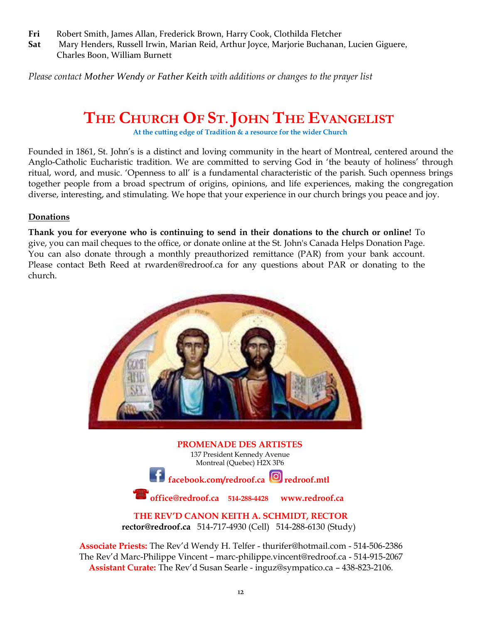- **Fri** Robert Smith, James Allan, Frederick Brown, Harry Cook, Clothilda Fletcher
- **Sat** Mary Henders, Russell Irwin, Marian Reid, Arthur Joyce, Marjorie Buchanan, Lucien Giguere, Charles Boon, William Burnett

*Please contact [Mother Wendy](mailto:thurifer@hotmail.com) or [Father Keith](mailto:rector@redroof.ca) with additions or changes to the prayer list*

## **THE CHURCH OF ST.JOHN THE EVANGELIST**

**At the cutting edge of Tradition & a resource for the wider Church**

Founded in 1861, St. John's is a distinct and loving community in the heart of Montreal, centered around the Anglo-Catholic Eucharistic tradition. We are committed to serving God in 'the beauty of holiness' through ritual, word, and music. 'Openness to all' is a fundamental characteristic of the parish. Such openness brings together people from a broad spectrum of origins, opinions, and life experiences, making the congregation diverse, interesting, and stimulating. We hope that your experience in our church brings you peace and joy.

#### **Donations**

**Thank you for everyone who is continuing to send in their donations to the church or online!** To give, you can mail cheques to the office, or donate online at the [St. John's Canada Helps Donation Page.](https://www.canadahelps.org/en/charities/119182384RR0002-the-church-of-st-john-the-evangelist/) You can also donate through a monthly preauthorized remittance (PAR) from your bank account. Please contact Beth Reed at [rwarden@redroof.ca](mailto:rwarden@redroof.ca) for any questions about PAR or donating to the church.



**PROMENADE DES ARTISTES** 137 President Kennedy Avenue Montreal (Quebec) H2X 3P6 facebook.com/redroof.ca **c** redroof.mtl **office@redroof.ca 514-288-4428 [www.redroof.ca](http://www.redroof.ca/)**

**THE REV'D CANON KEITH A. SCHMIDT, RECTOR [rector@redroof.ca](mailto:rector@redroof.ca)** 514-717-4930 (Cell) 514-288-6130 (Study)

**Associate Priests:** The Rev'd Wendy H. Telfer - [thurifer@hotmail.com](mailto:thurifer@hotmail.com) - 514-506-2386 The Rev'd Marc-Philippe Vincent – [marc-philippe.vincent@redroof.ca](mailto:marc-philippe.vincent@redroof.ca) - 514-915-2067 **Assistant Curate:** The Rev'd Susan Searle - [inguz@sympatico.ca](mailto:inguz@sympatico.ca%20-) – 438-823-2106.